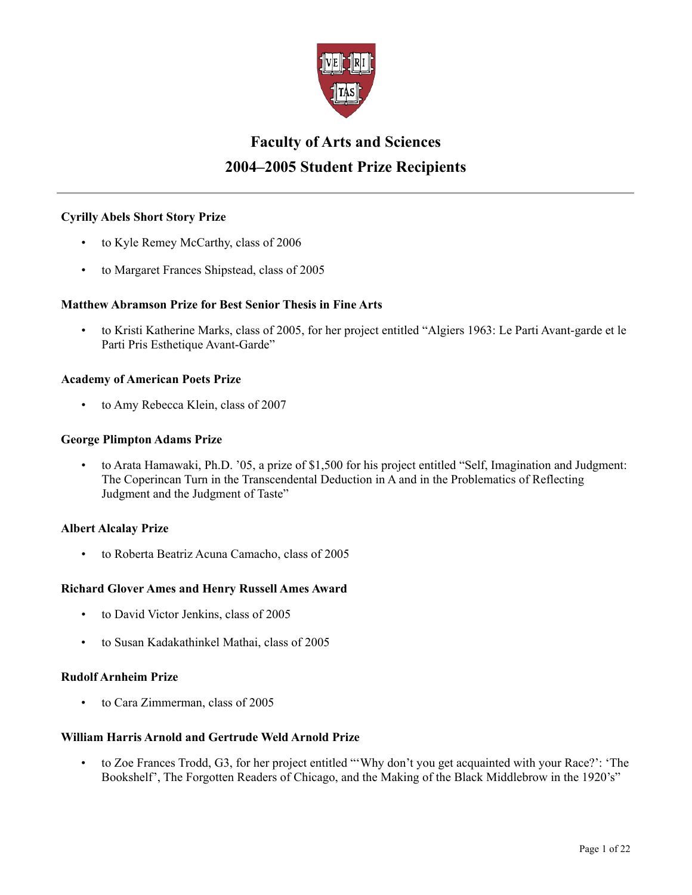

# **Faculty of Arts and Sciences 2004–2005 Student Prize Recipients**

# **Cyrilly Abels Short Story Prize**

- to Kyle Remey McCarthy, class of 2006
- to Margaret Frances Shipstead, class of 2005

## **Matthew Abramson Prize for Best Senior Thesis in Fine Arts**

• to Kristi Katherine Marks, class of 2005, for her project entitled "Algiers 1963: Le Parti Avant-garde et le Parti Pris Esthetique Avant-Garde"

## **Academy of American Poets Prize**

• to Amy Rebecca Klein, class of 2007

## **George Plimpton Adams Prize**

• to Arata Hamawaki, Ph.D. '05, a prize of \$1,500 for his project entitled "Self, Imagination and Judgment: The Coperincan Turn in the Transcendental Deduction in A and in the Problematics of Reflecting Judgment and the Judgment of Taste"

## **Albert Alcalay Prize**

• to Roberta Beatriz Acuna Camacho, class of 2005

## **Richard Glover Ames and Henry Russell Ames Award**

- to David Victor Jenkins, class of 2005
- to Susan Kadakathinkel Mathai, class of 2005

### **Rudolf Arnheim Prize**

• to Cara Zimmerman, class of 2005

## **William Harris Arnold and Gertrude Weld Arnold Prize**

• to Zoe Frances Trodd, G3, for her project entitled "'Why don't you get acquainted with your Race?': 'The Bookshelf', The Forgotten Readers of Chicago, and the Making of the Black Middlebrow in the 1920's"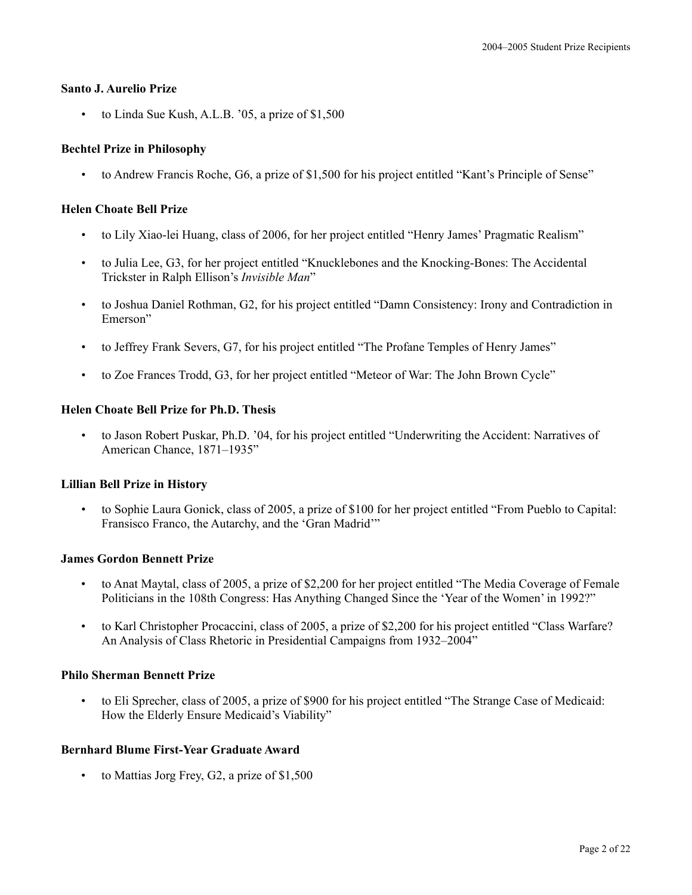#### **Santo J. Aurelio Prize**

• to Linda Sue Kush, A.L.B. '05, a prize of \$1,500

## **Bechtel Prize in Philosophy**

• to Andrew Francis Roche, G6, a prize of \$1,500 for his project entitled "Kant's Principle of Sense"

## **Helen Choate Bell Prize**

- to Lily Xiao-lei Huang, class of 2006, for her project entitled "Henry James' Pragmatic Realism"
- to Julia Lee, G3, for her project entitled "Knucklebones and the Knocking-Bones: The Accidental Trickster in Ralph Ellison's *Invisible Man*"
- to Joshua Daniel Rothman, G2, for his project entitled "Damn Consistency: Irony and Contradiction in Emerson"
- to Jeffrey Frank Severs, G7, for his project entitled "The Profane Temples of Henry James"
- to Zoe Frances Trodd, G3, for her project entitled "Meteor of War: The John Brown Cycle"

## **Helen Choate Bell Prize for Ph.D. Thesis**

• to Jason Robert Puskar, Ph.D. '04, for his project entitled "Underwriting the Accident: Narratives of American Chance, 1871–1935"

## **Lillian Bell Prize in History**

• to Sophie Laura Gonick, class of 2005, a prize of \$100 for her project entitled "From Pueblo to Capital: Fransisco Franco, the Autarchy, and the 'Gran Madrid'"

#### **James Gordon Bennett Prize**

- to Anat Maytal, class of 2005, a prize of \$2,200 for her project entitled "The Media Coverage of Female Politicians in the 108th Congress: Has Anything Changed Since the 'Year of the Women' in 1992?"
- to Karl Christopher Procaccini, class of 2005, a prize of \$2,200 for his project entitled "Class Warfare? An Analysis of Class Rhetoric in Presidential Campaigns from 1932–2004"

## **Philo Sherman Bennett Prize**

• to Eli Sprecher, class of 2005, a prize of \$900 for his project entitled "The Strange Case of Medicaid: How the Elderly Ensure Medicaid's Viability"

## **Bernhard Blume First-Year Graduate Award**

to Mattias Jorg Frey, G2, a prize of \$1,500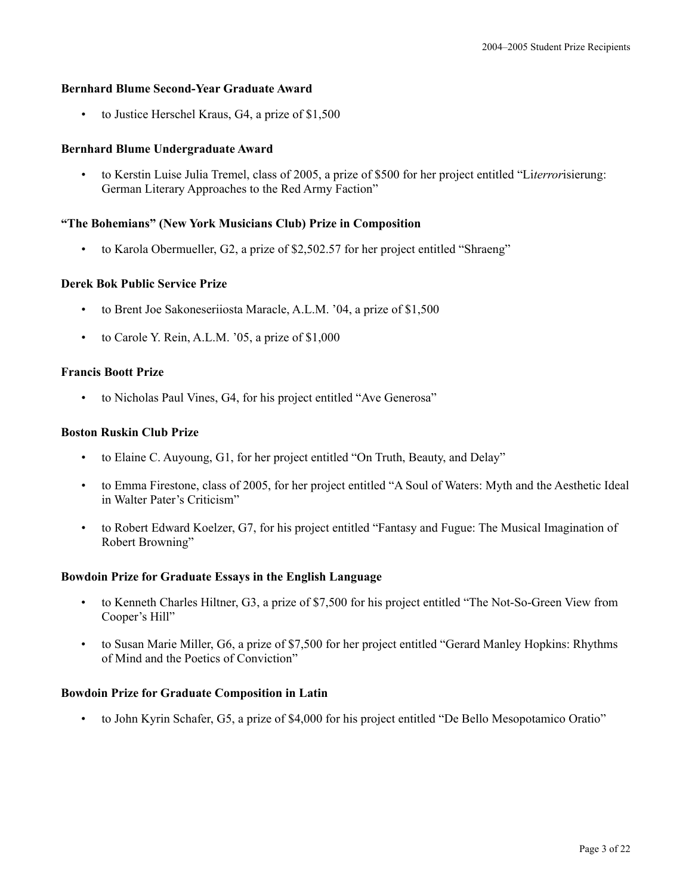#### **Bernhard Blume Second-Year Graduate Award**

to Justice Herschel Kraus, G4, a prize of \$1,500

#### **Bernhard Blume Undergraduate Award**

• to Kerstin Luise Julia Tremel, class of 2005, a prize of \$500 for her project entitled "Li*terror*isierung: German Literary Approaches to the Red Army Faction"

## **"The Bohemians" (New York Musicians Club) Prize in Composition**

• to Karola Obermueller, G2, a prize of \$2,502.57 for her project entitled "Shraeng"

#### **Derek Bok Public Service Prize**

- to Brent Joe Sakoneseriiosta Maracle, A.L.M. '04, a prize of \$1,500
- to Carole Y. Rein, A.L.M. '05, a prize of \$1,000

#### **Francis Boott Prize**

• to Nicholas Paul Vines, G4, for his project entitled "Ave Generosa"

## **Boston Ruskin Club Prize**

- to Elaine C. Auyoung, G1, for her project entitled "On Truth, Beauty, and Delay"
- to Emma Firestone, class of 2005, for her project entitled "A Soul of Waters: Myth and the Aesthetic Ideal in Walter Pater's Criticism"
- to Robert Edward Koelzer, G7, for his project entitled "Fantasy and Fugue: The Musical Imagination of Robert Browning"

#### **Bowdoin Prize for Graduate Essays in the English Language**

- to Kenneth Charles Hiltner, G3, a prize of \$7,500 for his project entitled "The Not-So-Green View from Cooper's Hill"
- to Susan Marie Miller, G6, a prize of \$7,500 for her project entitled "Gerard Manley Hopkins: Rhythms of Mind and the Poetics of Conviction"

#### **Bowdoin Prize for Graduate Composition in Latin**

• to John Kyrin Schafer, G5, a prize of \$4,000 for his project entitled "De Bello Mesopotamico Oratio"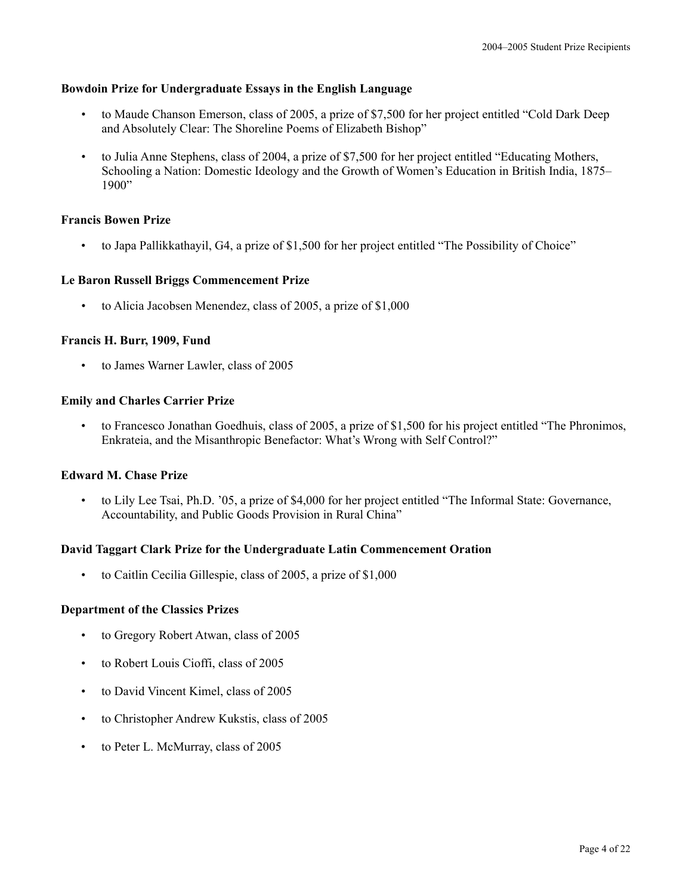#### **Bowdoin Prize for Undergraduate Essays in the English Language**

- to Maude Chanson Emerson, class of 2005, a prize of \$7,500 for her project entitled "Cold Dark Deep and Absolutely Clear: The Shoreline Poems of Elizabeth Bishop"
- to Julia Anne Stephens, class of 2004, a prize of \$7,500 for her project entitled "Educating Mothers, Schooling a Nation: Domestic Ideology and the Growth of Women's Education in British India, 1875– 1900"

#### **Francis Bowen Prize**

• to Japa Pallikkathayil, G4, a prize of \$1,500 for her project entitled "The Possibility of Choice"

## **Le Baron Russell Briggs Commencement Prize**

• to Alicia Jacobsen Menendez, class of 2005, a prize of \$1,000

## **Francis H. Burr, 1909, Fund**

• to James Warner Lawler, class of 2005

## **Emily and Charles Carrier Prize**

• to Francesco Jonathan Goedhuis, class of 2005, a prize of \$1,500 for his project entitled "The Phronimos, Enkrateia, and the Misanthropic Benefactor: What's Wrong with Self Control?"

## **Edward M. Chase Prize**

• to Lily Lee Tsai, Ph.D. '05, a prize of \$4,000 for her project entitled "The Informal State: Governance, Accountability, and Public Goods Provision in Rural China"

#### **David Taggart Clark Prize for the Undergraduate Latin Commencement Oration**

• to Caitlin Cecilia Gillespie, class of 2005, a prize of \$1,000

#### **Department of the Classics Prizes**

- to Gregory Robert Atwan, class of 2005
- to Robert Louis Cioffi, class of 2005
- to David Vincent Kimel, class of 2005
- to Christopher Andrew Kukstis, class of 2005
- to Peter L. McMurray, class of 2005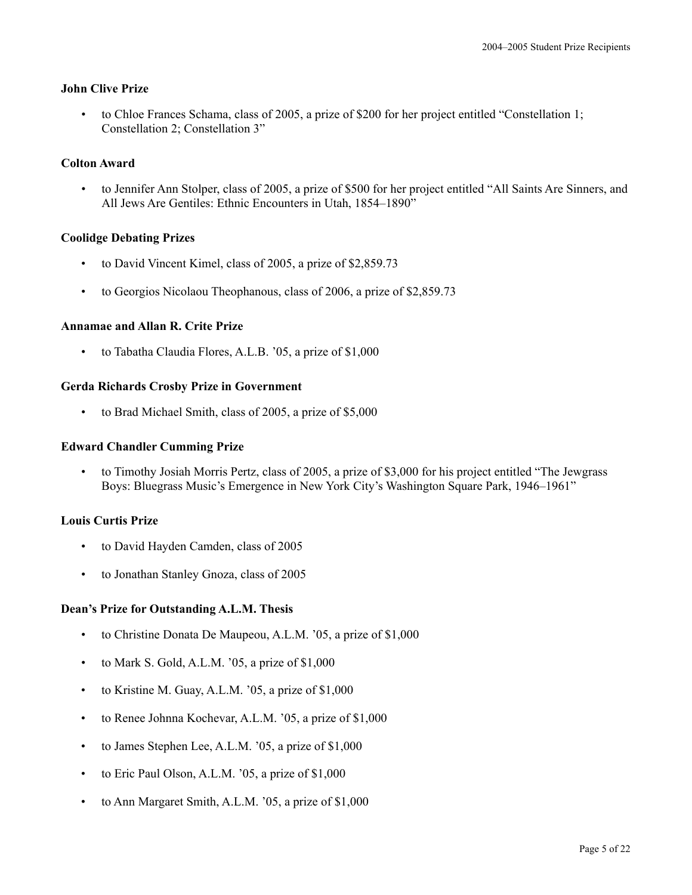## **John Clive Prize**

• to Chloe Frances Schama, class of 2005, a prize of \$200 for her project entitled "Constellation 1; Constellation 2; Constellation 3"

## **Colton Award**

• to Jennifer Ann Stolper, class of 2005, a prize of \$500 for her project entitled "All Saints Are Sinners, and All Jews Are Gentiles: Ethnic Encounters in Utah, 1854–1890"

## **Coolidge Debating Prizes**

- to David Vincent Kimel, class of 2005, a prize of \$2,859.73
- to Georgios Nicolaou Theophanous, class of 2006, a prize of \$2,859.73

## **Annamae and Allan R. Crite Prize**

• to Tabatha Claudia Flores, A.L.B. '05, a prize of \$1,000

## **Gerda Richards Crosby Prize in Government**

• to Brad Michael Smith, class of 2005, a prize of \$5,000

#### **Edward Chandler Cumming Prize**

• to Timothy Josiah Morris Pertz, class of 2005, a prize of \$3,000 for his project entitled "The Jewgrass Boys: Bluegrass Music's Emergence in New York City's Washington Square Park, 1946–1961"

#### **Louis Curtis Prize**

- to David Hayden Camden, class of 2005
- to Jonathan Stanley Gnoza, class of 2005

#### **Dean's Prize for Outstanding A.L.M. Thesis**

- to Christine Donata De Maupeou, A.L.M. '05, a prize of \$1,000
- to Mark S. Gold, A.L.M.  $0.05$ , a prize of \$1,000
- to Kristine M. Guay, A.L.M. '05, a prize of \$1,000
- to Renee Johnna Kochevar, A.L.M. '05, a prize of \$1,000
- to James Stephen Lee, A.L.M. '05, a prize of \$1,000
- to Eric Paul Olson, A.L.M. '05, a prize of \$1,000
- to Ann Margaret Smith, A.L.M. '05, a prize of \$1,000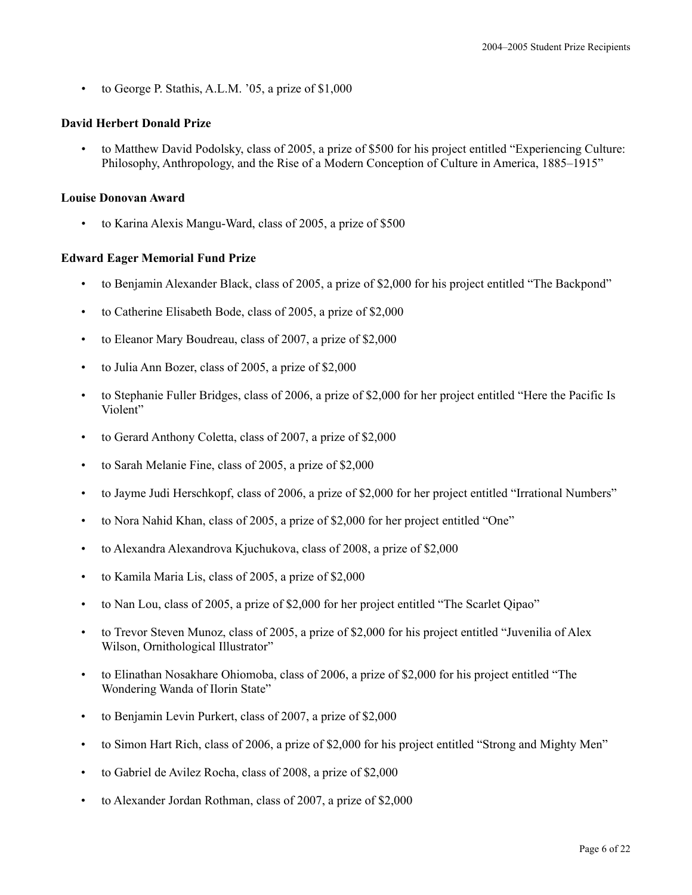• to George P. Stathis, A.L.M. '05, a prize of \$1,000

## **David Herbert Donald Prize**

• to Matthew David Podolsky, class of 2005, a prize of \$500 for his project entitled "Experiencing Culture: Philosophy, Anthropology, and the Rise of a Modern Conception of Culture in America, 1885–1915"

## **Louise Donovan Award**

• to Karina Alexis Mangu-Ward, class of 2005, a prize of \$500

## **Edward Eager Memorial Fund Prize**

- to Benjamin Alexander Black, class of 2005, a prize of \$2,000 for his project entitled "The Backpond"
- to Catherine Elisabeth Bode, class of 2005, a prize of \$2,000
- to Eleanor Mary Boudreau, class of 2007, a prize of \$2,000
- to Julia Ann Bozer, class of 2005, a prize of \$2,000
- to Stephanie Fuller Bridges, class of 2006, a prize of \$2,000 for her project entitled "Here the Pacific Is Violent"
- to Gerard Anthony Coletta, class of 2007, a prize of \$2,000
- to Sarah Melanie Fine, class of 2005, a prize of \$2,000
- to Jayme Judi Herschkopf, class of 2006, a prize of \$2,000 for her project entitled "Irrational Numbers"
- to Nora Nahid Khan, class of 2005, a prize of \$2,000 for her project entitled "One"
- to Alexandra Alexandrova Kjuchukova, class of 2008, a prize of \$2,000
- to Kamila Maria Lis, class of 2005, a prize of \$2,000
- to Nan Lou, class of 2005, a prize of \$2,000 for her project entitled "The Scarlet Qipao"
- to Trevor Steven Munoz, class of 2005, a prize of \$2,000 for his project entitled "Juvenilia of Alex Wilson, Ornithological Illustrator"
- to Elinathan Nosakhare Ohiomoba, class of 2006, a prize of \$2,000 for his project entitled "The Wondering Wanda of Ilorin State"
- to Benjamin Levin Purkert, class of 2007, a prize of \$2,000
- to Simon Hart Rich, class of 2006, a prize of \$2,000 for his project entitled "Strong and Mighty Men"
- to Gabriel de Avilez Rocha, class of 2008, a prize of \$2,000
- to Alexander Jordan Rothman, class of 2007, a prize of \$2,000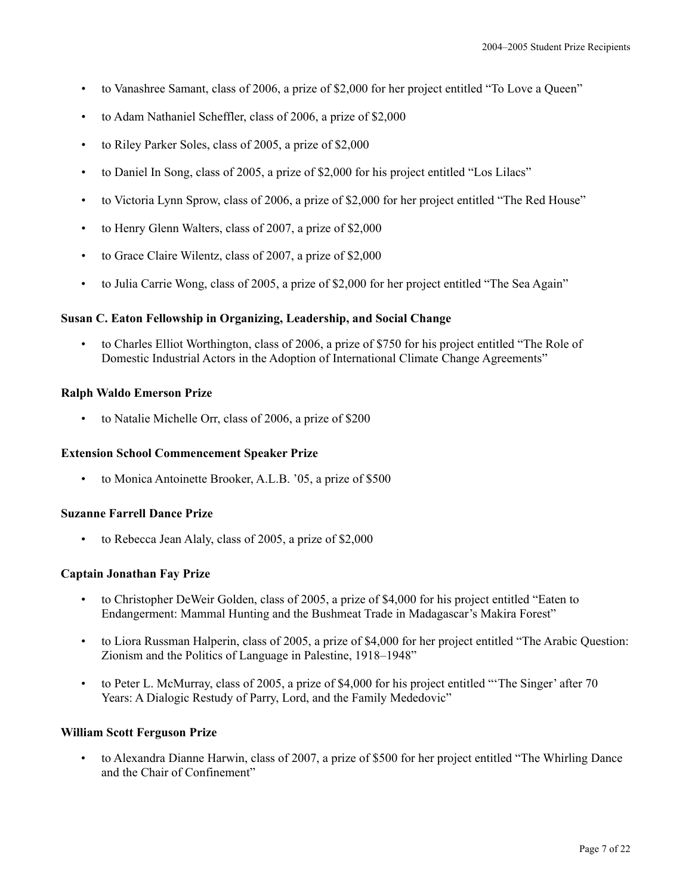- to Vanashree Samant, class of 2006, a prize of \$2,000 for her project entitled "To Love a Queen"
- to Adam Nathaniel Scheffler, class of 2006, a prize of \$2,000
- to Riley Parker Soles, class of 2005, a prize of \$2,000
- to Daniel In Song, class of 2005, a prize of \$2,000 for his project entitled "Los Lilacs"
- to Victoria Lynn Sprow, class of 2006, a prize of \$2,000 for her project entitled "The Red House"
- to Henry Glenn Walters, class of 2007, a prize of \$2,000
- to Grace Claire Wilentz, class of 2007, a prize of \$2,000
- to Julia Carrie Wong, class of 2005, a prize of \$2,000 for her project entitled "The Sea Again"

#### **Susan C. Eaton Fellowship in Organizing, Leadership, and Social Change**

• to Charles Elliot Worthington, class of 2006, a prize of \$750 for his project entitled "The Role of Domestic Industrial Actors in the Adoption of International Climate Change Agreements"

#### **Ralph Waldo Emerson Prize**

• to Natalie Michelle Orr, class of 2006, a prize of \$200

#### **Extension School Commencement Speaker Prize**

to Monica Antoinette Brooker, A.L.B. '05, a prize of \$500

#### **Suzanne Farrell Dance Prize**

• to Rebecca Jean Alaly, class of 2005, a prize of \$2,000

#### **Captain Jonathan Fay Prize**

- to Christopher DeWeir Golden, class of 2005, a prize of \$4,000 for his project entitled "Eaten to Endangerment: Mammal Hunting and the Bushmeat Trade in Madagascar's Makira Forest"
- to Liora Russman Halperin, class of 2005, a prize of \$4,000 for her project entitled "The Arabic Question: Zionism and the Politics of Language in Palestine, 1918–1948"
- to Peter L. McMurray, class of 2005, a prize of \$4,000 for his project entitled "'The Singer' after 70 Years: A Dialogic Restudy of Parry, Lord, and the Family Mededovic"

#### **William Scott Ferguson Prize**

• to Alexandra Dianne Harwin, class of 2007, a prize of \$500 for her project entitled "The Whirling Dance and the Chair of Confinement"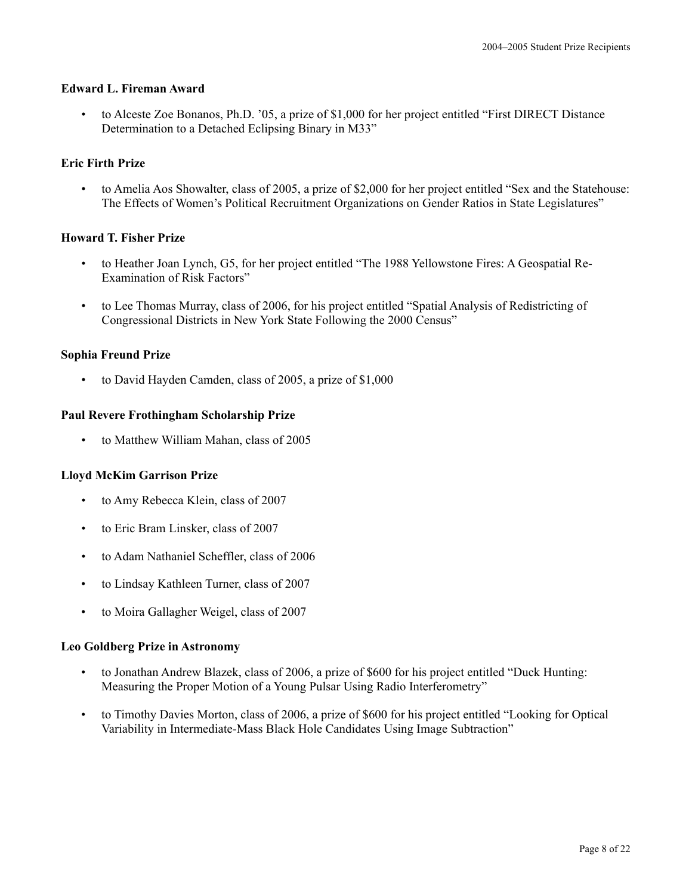## **Edward L. Fireman Award**

• to Alceste Zoe Bonanos, Ph.D. '05, a prize of \$1,000 for her project entitled "First DIRECT Distance Determination to a Detached Eclipsing Binary in M33"

# **Eric Firth Prize**

• to Amelia Aos Showalter, class of 2005, a prize of \$2,000 for her project entitled "Sex and the Statehouse: The Effects of Women's Political Recruitment Organizations on Gender Ratios in State Legislatures"

## **Howard T. Fisher Prize**

- to Heather Joan Lynch, G5, for her project entitled "The 1988 Yellowstone Fires: A Geospatial Re-Examination of Risk Factors"
- to Lee Thomas Murray, class of 2006, for his project entitled "Spatial Analysis of Redistricting of Congressional Districts in New York State Following the 2000 Census"

# **Sophia Freund Prize**

to David Hayden Camden, class of 2005, a prize of \$1,000

# **Paul Revere Frothingham Scholarship Prize**

• to Matthew William Mahan, class of 2005

## **Lloyd McKim Garrison Prize**

- to Amy Rebecca Klein, class of 2007
- to Eric Bram Linsker, class of 2007
- to Adam Nathaniel Scheffler, class of 2006
- to Lindsay Kathleen Turner, class of 2007
- to Moira Gallagher Weigel, class of 2007

## **Leo Goldberg Prize in Astronomy**

- to Jonathan Andrew Blazek, class of 2006, a prize of \$600 for his project entitled "Duck Hunting: Measuring the Proper Motion of a Young Pulsar Using Radio Interferometry"
- to Timothy Davies Morton, class of 2006, a prize of \$600 for his project entitled "Looking for Optical Variability in Intermediate-Mass Black Hole Candidates Using Image Subtraction"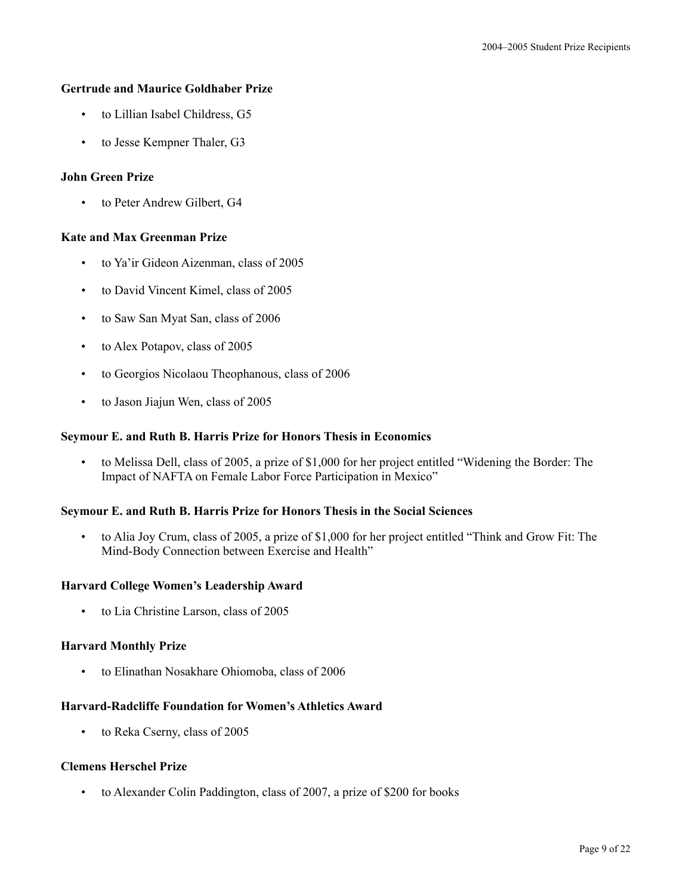## **Gertrude and Maurice Goldhaber Prize**

- to Lillian Isabel Childress, G5
- to Jesse Kempner Thaler, G3

## **John Green Prize**

• to Peter Andrew Gilbert, G4

## **Kate and Max Greenman Prize**

- to Ya'ir Gideon Aizenman, class of 2005
- to David Vincent Kimel, class of 2005
- to Saw San Myat San, class of 2006
- to Alex Potapov, class of 2005
- to Georgios Nicolaou Theophanous, class of 2006
- to Jason Jiajun Wen, class of 2005

#### **Seymour E. and Ruth B. Harris Prize for Honors Thesis in Economics**

• to Melissa Dell, class of 2005, a prize of \$1,000 for her project entitled "Widening the Border: The Impact of NAFTA on Female Labor Force Participation in Mexico"

#### **Seymour E. and Ruth B. Harris Prize for Honors Thesis in the Social Sciences**

• to Alia Joy Crum, class of 2005, a prize of \$1,000 for her project entitled "Think and Grow Fit: The Mind-Body Connection between Exercise and Health"

#### **Harvard College Women's Leadership Award**

• to Lia Christine Larson, class of 2005

## **Harvard Monthly Prize**

• to Elinathan Nosakhare Ohiomoba, class of 2006

## **Harvard-Radcliffe Foundation for Women's Athletics Award**

• to Reka Cserny, class of 2005

#### **Clemens Herschel Prize**

• to Alexander Colin Paddington, class of 2007, a prize of \$200 for books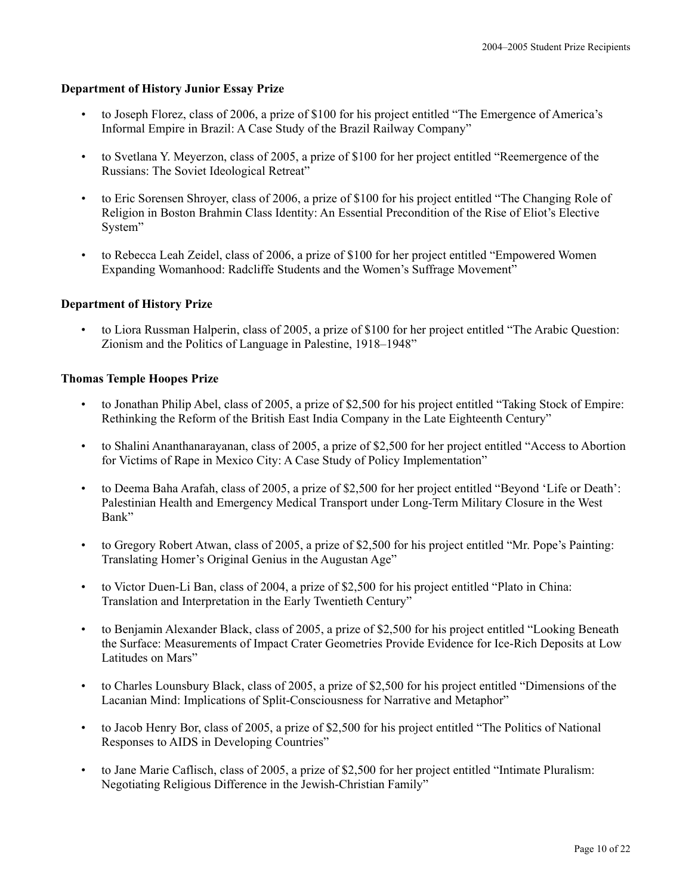#### **Department of History Junior Essay Prize**

- to Joseph Florez, class of 2006, a prize of \$100 for his project entitled "The Emergence of America's Informal Empire in Brazil: A Case Study of the Brazil Railway Company"
- to Svetlana Y. Meyerzon, class of 2005, a prize of \$100 for her project entitled "Reemergence of the Russians: The Soviet Ideological Retreat"
- to Eric Sorensen Shroyer, class of 2006, a prize of \$100 for his project entitled "The Changing Role of Religion in Boston Brahmin Class Identity: An Essential Precondition of the Rise of Eliot's Elective System"
- to Rebecca Leah Zeidel, class of 2006, a prize of \$100 for her project entitled "Empowered Women Expanding Womanhood: Radcliffe Students and the Women's Suffrage Movement"

## **Department of History Prize**

• to Liora Russman Halperin, class of 2005, a prize of \$100 for her project entitled "The Arabic Question: Zionism and the Politics of Language in Palestine, 1918–1948"

#### **Thomas Temple Hoopes Prize**

- to Jonathan Philip Abel, class of 2005, a prize of \$2,500 for his project entitled "Taking Stock of Empire: Rethinking the Reform of the British East India Company in the Late Eighteenth Century"
- to Shalini Ananthanarayanan, class of 2005, a prize of \$2,500 for her project entitled "Access to Abortion for Victims of Rape in Mexico City: A Case Study of Policy Implementation"
- to Deema Baha Arafah, class of 2005, a prize of \$2,500 for her project entitled "Beyond 'Life or Death': Palestinian Health and Emergency Medical Transport under Long-Term Military Closure in the West Bank"
- to Gregory Robert Atwan, class of 2005, a prize of \$2,500 for his project entitled "Mr. Pope's Painting: Translating Homer's Original Genius in the Augustan Age"
- to Victor Duen-Li Ban, class of 2004, a prize of \$2,500 for his project entitled "Plato in China: Translation and Interpretation in the Early Twentieth Century"
- to Benjamin Alexander Black, class of 2005, a prize of \$2,500 for his project entitled "Looking Beneath the Surface: Measurements of Impact Crater Geometries Provide Evidence for Ice-Rich Deposits at Low Latitudes on Mars"
- to Charles Lounsbury Black, class of 2005, a prize of \$2,500 for his project entitled "Dimensions of the Lacanian Mind: Implications of Split-Consciousness for Narrative and Metaphor"
- to Jacob Henry Bor, class of 2005, a prize of \$2,500 for his project entitled "The Politics of National Responses to AIDS in Developing Countries"
- to Jane Marie Caflisch, class of 2005, a prize of \$2,500 for her project entitled "Intimate Pluralism: Negotiating Religious Difference in the Jewish-Christian Family"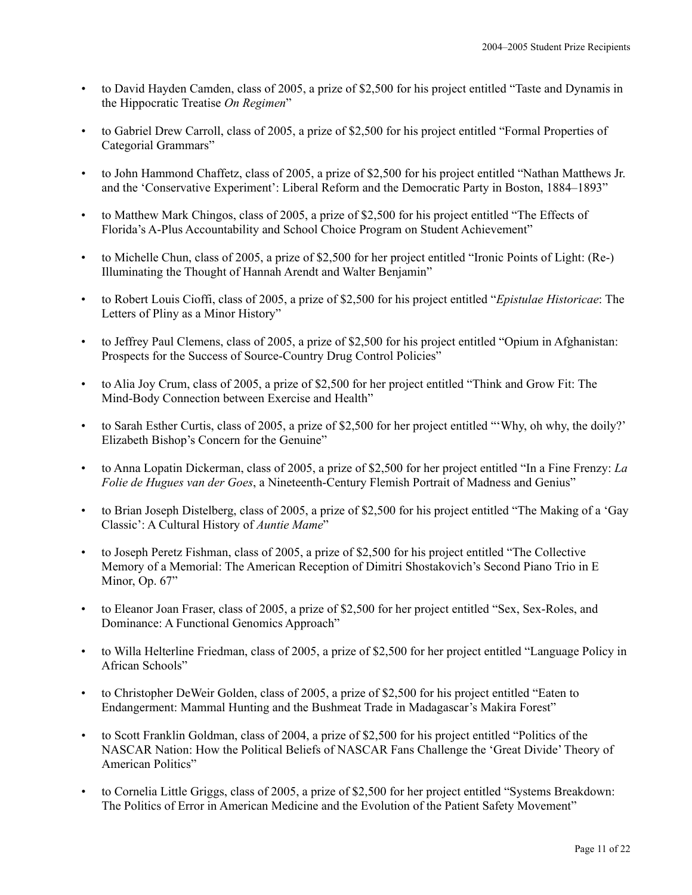- to David Hayden Camden, class of 2005, a prize of \$2,500 for his project entitled "Taste and Dynamis in the Hippocratic Treatise *On Regimen*"
- to Gabriel Drew Carroll, class of 2005, a prize of \$2,500 for his project entitled "Formal Properties of Categorial Grammars"
- to John Hammond Chaffetz, class of 2005, a prize of \$2,500 for his project entitled "Nathan Matthews Jr. and the 'Conservative Experiment': Liberal Reform and the Democratic Party in Boston, 1884–1893"
- to Matthew Mark Chingos, class of 2005, a prize of \$2,500 for his project entitled "The Effects of Florida's A-Plus Accountability and School Choice Program on Student Achievement"
- to Michelle Chun, class of 2005, a prize of \$2,500 for her project entitled "Ironic Points of Light: (Re-) Illuminating the Thought of Hannah Arendt and Walter Benjamin"
- to Robert Louis Cioffi, class of 2005, a prize of \$2,500 for his project entitled "*Epistulae Historicae*: The Letters of Pliny as a Minor History"
- to Jeffrey Paul Clemens, class of 2005, a prize of \$2,500 for his project entitled "Opium in Afghanistan: Prospects for the Success of Source-Country Drug Control Policies"
- to Alia Joy Crum, class of 2005, a prize of \$2,500 for her project entitled "Think and Grow Fit: The Mind-Body Connection between Exercise and Health"
- to Sarah Esther Curtis, class of 2005, a prize of \$2,500 for her project entitled "'Why, oh why, the doily?' Elizabeth Bishop's Concern for the Genuine"
- to Anna Lopatin Dickerman, class of 2005, a prize of \$2,500 for her project entitled "In a Fine Frenzy: *La Folie de Hugues van der Goes*, a Nineteenth-Century Flemish Portrait of Madness and Genius"
- to Brian Joseph Distelberg, class of 2005, a prize of \$2,500 for his project entitled "The Making of a 'Gay Classic': A Cultural History of *Auntie Mame*"
- to Joseph Peretz Fishman, class of 2005, a prize of \$2,500 for his project entitled "The Collective Memory of a Memorial: The American Reception of Dimitri Shostakovich's Second Piano Trio in E Minor, Op. 67"
- to Eleanor Joan Fraser, class of 2005, a prize of \$2,500 for her project entitled "Sex, Sex-Roles, and Dominance: A Functional Genomics Approach"
- to Willa Helterline Friedman, class of 2005, a prize of \$2,500 for her project entitled "Language Policy in African Schools"
- to Christopher DeWeir Golden, class of 2005, a prize of \$2,500 for his project entitled "Eaten to Endangerment: Mammal Hunting and the Bushmeat Trade in Madagascar's Makira Forest"
- to Scott Franklin Goldman, class of 2004, a prize of \$2,500 for his project entitled "Politics of the NASCAR Nation: How the Political Beliefs of NASCAR Fans Challenge the 'Great Divide' Theory of American Politics"
- to Cornelia Little Griggs, class of 2005, a prize of \$2,500 for her project entitled "Systems Breakdown: The Politics of Error in American Medicine and the Evolution of the Patient Safety Movement"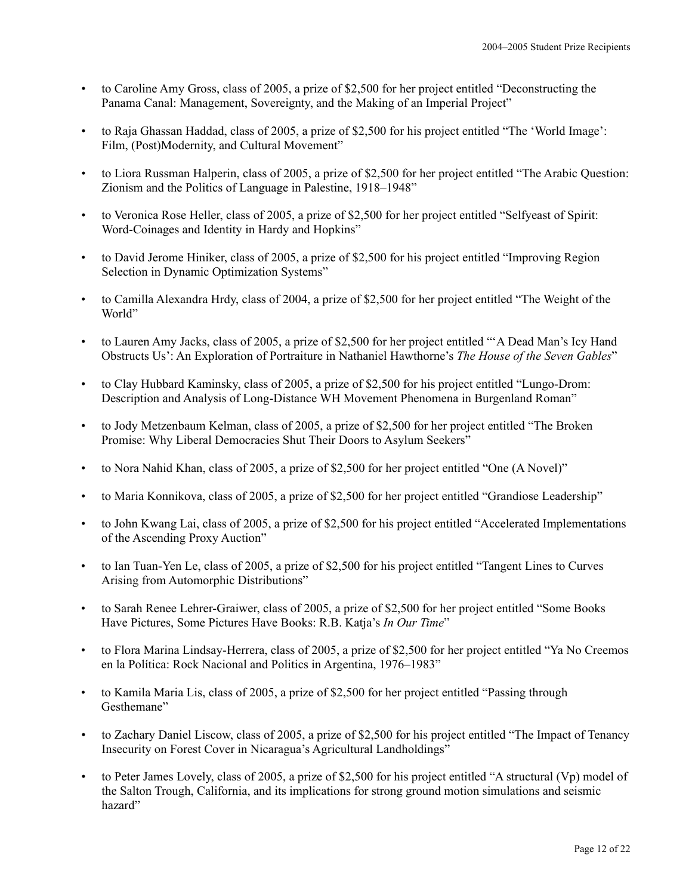- to Caroline Amy Gross, class of 2005, a prize of \$2,500 for her project entitled "Deconstructing the Panama Canal: Management, Sovereignty, and the Making of an Imperial Project"
- to Raja Ghassan Haddad, class of 2005, a prize of \$2,500 for his project entitled "The 'World Image': Film, (Post)Modernity, and Cultural Movement"
- to Liora Russman Halperin, class of 2005, a prize of \$2,500 for her project entitled "The Arabic Question: Zionism and the Politics of Language in Palestine, 1918–1948"
- to Veronica Rose Heller, class of 2005, a prize of \$2,500 for her project entitled "Selfyeast of Spirit: Word-Coinages and Identity in Hardy and Hopkins"
- to David Jerome Hiniker, class of 2005, a prize of \$2,500 for his project entitled "Improving Region Selection in Dynamic Optimization Systems"
- to Camilla Alexandra Hrdy, class of 2004, a prize of \$2,500 for her project entitled "The Weight of the World"
- to Lauren Amy Jacks, class of 2005, a prize of \$2,500 for her project entitled "'A Dead Man's Icy Hand Obstructs Us': An Exploration of Portraiture in Nathaniel Hawthorne's *The House of the Seven Gables*"
- to Clay Hubbard Kaminsky, class of 2005, a prize of \$2,500 for his project entitled "Lungo-Drom: Description and Analysis of Long-Distance WH Movement Phenomena in Burgenland Roman"
- to Jody Metzenbaum Kelman, class of 2005, a prize of \$2,500 for her project entitled "The Broken Promise: Why Liberal Democracies Shut Their Doors to Asylum Seekers"
- to Nora Nahid Khan, class of 2005, a prize of \$2,500 for her project entitled "One (A Novel)"
- to Maria Konnikova, class of 2005, a prize of \$2,500 for her project entitled "Grandiose Leadership"
- to John Kwang Lai, class of 2005, a prize of \$2,500 for his project entitled "Accelerated Implementations of the Ascending Proxy Auction"
- to Ian Tuan-Yen Le, class of 2005, a prize of \$2,500 for his project entitled "Tangent Lines to Curves Arising from Automorphic Distributions"
- to Sarah Renee Lehrer-Graiwer, class of 2005, a prize of \$2,500 for her project entitled "Some Books Have Pictures, Some Pictures Have Books: R.B. Katja's *In Our Time*"
- to Flora Marina Lindsay-Herrera, class of 2005, a prize of \$2,500 for her project entitled "Ya No Creemos en la Política: Rock Nacional and Politics in Argentina, 1976–1983"
- to Kamila Maria Lis, class of 2005, a prize of \$2,500 for her project entitled "Passing through Gesthemane"
- to Zachary Daniel Liscow, class of 2005, a prize of \$2,500 for his project entitled "The Impact of Tenancy Insecurity on Forest Cover in Nicaragua's Agricultural Landholdings"
- to Peter James Lovely, class of 2005, a prize of \$2,500 for his project entitled "A structural (Vp) model of the Salton Trough, California, and its implications for strong ground motion simulations and seismic hazard"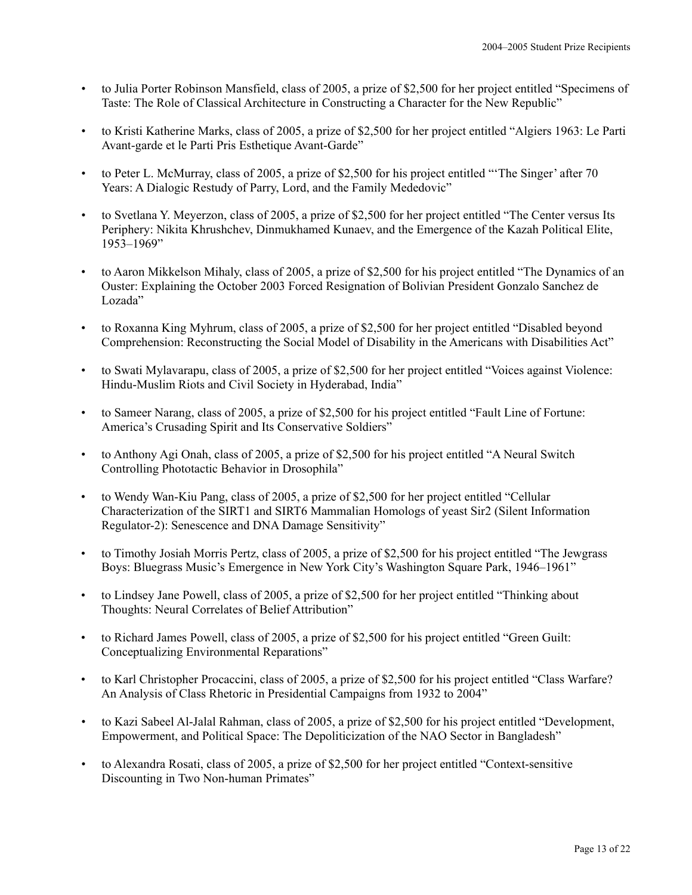- to Julia Porter Robinson Mansfield, class of 2005, a prize of \$2,500 for her project entitled "Specimens of Taste: The Role of Classical Architecture in Constructing a Character for the New Republic"
- to Kristi Katherine Marks, class of 2005, a prize of \$2,500 for her project entitled "Algiers 1963: Le Parti Avant-garde et le Parti Pris Esthetique Avant-Garde"
- to Peter L. McMurray, class of 2005, a prize of \$2,500 for his project entitled "'The Singer' after 70 Years: A Dialogic Restudy of Parry, Lord, and the Family Mededovic"
- to Svetlana Y. Meyerzon, class of 2005, a prize of \$2,500 for her project entitled "The Center versus Its Periphery: Nikita Khrushchev, Dinmukhamed Kunaev, and the Emergence of the Kazah Political Elite, 1953–1969"
- to Aaron Mikkelson Mihaly, class of 2005, a prize of \$2,500 for his project entitled "The Dynamics of an Ouster: Explaining the October 2003 Forced Resignation of Bolivian President Gonzalo Sanchez de Lozada"
- to Roxanna King Myhrum, class of 2005, a prize of \$2,500 for her project entitled "Disabled beyond Comprehension: Reconstructing the Social Model of Disability in the Americans with Disabilities Act"
- to Swati Mylavarapu, class of 2005, a prize of \$2,500 for her project entitled "Voices against Violence: Hindu-Muslim Riots and Civil Society in Hyderabad, India"
- to Sameer Narang, class of 2005, a prize of \$2,500 for his project entitled "Fault Line of Fortune: America's Crusading Spirit and Its Conservative Soldiers"
- to Anthony Agi Onah, class of 2005, a prize of \$2,500 for his project entitled "A Neural Switch Controlling Phototactic Behavior in Drosophila"
- to Wendy Wan-Kiu Pang, class of 2005, a prize of \$2,500 for her project entitled "Cellular Characterization of the SIRT1 and SIRT6 Mammalian Homologs of yeast Sir2 (Silent Information Regulator-2): Senescence and DNA Damage Sensitivity"
- to Timothy Josiah Morris Pertz, class of 2005, a prize of \$2,500 for his project entitled "The Jewgrass Boys: Bluegrass Music's Emergence in New York City's Washington Square Park, 1946–1961"
- to Lindsey Jane Powell, class of 2005, a prize of \$2,500 for her project entitled "Thinking about Thoughts: Neural Correlates of Belief Attribution"
- to Richard James Powell, class of 2005, a prize of \$2,500 for his project entitled "Green Guilt: Conceptualizing Environmental Reparations"
- to Karl Christopher Procaccini, class of 2005, a prize of \$2,500 for his project entitled "Class Warfare? An Analysis of Class Rhetoric in Presidential Campaigns from 1932 to 2004"
- to Kazi Sabeel Al-Jalal Rahman, class of 2005, a prize of \$2,500 for his project entitled "Development, Empowerment, and Political Space: The Depoliticization of the NAO Sector in Bangladesh"
- to Alexandra Rosati, class of 2005, a prize of \$2,500 for her project entitled "Context-sensitive Discounting in Two Non-human Primates"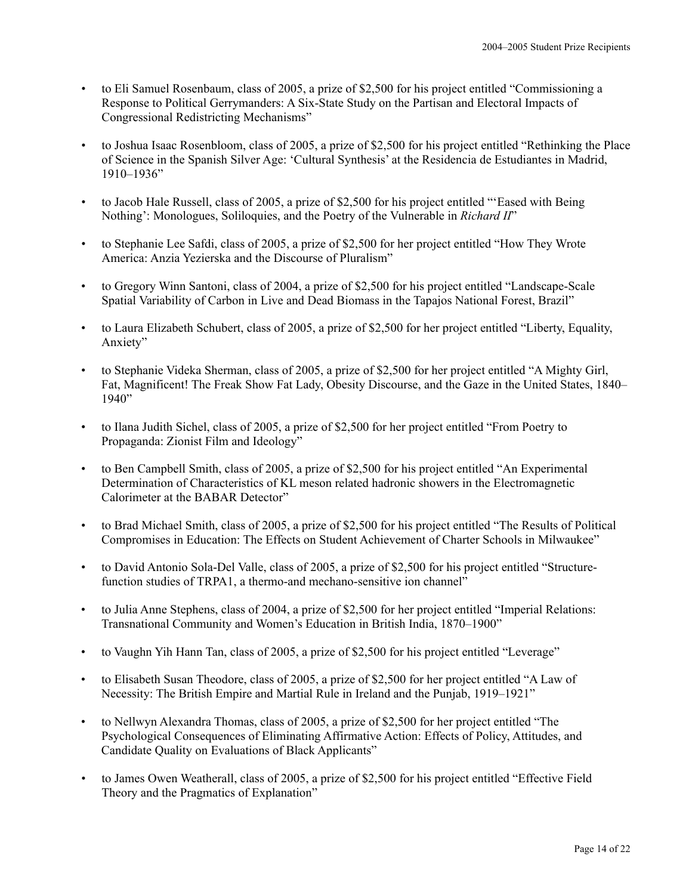- to Eli Samuel Rosenbaum, class of 2005, a prize of \$2,500 for his project entitled "Commissioning a Response to Political Gerrymanders: A Six-State Study on the Partisan and Electoral Impacts of Congressional Redistricting Mechanisms"
- to Joshua Isaac Rosenbloom, class of 2005, a prize of \$2,500 for his project entitled "Rethinking the Place of Science in the Spanish Silver Age: 'Cultural Synthesis' at the Residencia de Estudiantes in Madrid, 1910–1936"
- to Jacob Hale Russell, class of 2005, a prize of \$2,500 for his project entitled "'Eased with Being Nothing': Monologues, Soliloquies, and the Poetry of the Vulnerable in *Richard II*"
- to Stephanie Lee Safdi, class of 2005, a prize of \$2,500 for her project entitled "How They Wrote America: Anzia Yezierska and the Discourse of Pluralism"
- to Gregory Winn Santoni, class of 2004, a prize of \$2,500 for his project entitled "Landscape-Scale Spatial Variability of Carbon in Live and Dead Biomass in the Tapajos National Forest, Brazil"
- to Laura Elizabeth Schubert, class of 2005, a prize of \$2,500 for her project entitled "Liberty, Equality, Anxiety"
- to Stephanie Videka Sherman, class of 2005, a prize of \$2,500 for her project entitled "A Mighty Girl, Fat, Magnificent! The Freak Show Fat Lady, Obesity Discourse, and the Gaze in the United States, 1840– 1940"
- to Ilana Judith Sichel, class of 2005, a prize of \$2,500 for her project entitled "From Poetry to Propaganda: Zionist Film and Ideology"
- to Ben Campbell Smith, class of 2005, a prize of \$2,500 for his project entitled "An Experimental Determination of Characteristics of KL meson related hadronic showers in the Electromagnetic Calorimeter at the BABAR Detector"
- to Brad Michael Smith, class of 2005, a prize of \$2,500 for his project entitled "The Results of Political Compromises in Education: The Effects on Student Achievement of Charter Schools in Milwaukee"
- to David Antonio Sola-Del Valle, class of 2005, a prize of \$2,500 for his project entitled "Structurefunction studies of TRPA1, a thermo-and mechano-sensitive ion channel<sup>1</sup>
- to Julia Anne Stephens, class of 2004, a prize of \$2,500 for her project entitled "Imperial Relations: Transnational Community and Women's Education in British India, 1870–1900"
- to Vaughn Yih Hann Tan, class of 2005, a prize of \$2,500 for his project entitled "Leverage"
- to Elisabeth Susan Theodore, class of 2005, a prize of \$2,500 for her project entitled "A Law of Necessity: The British Empire and Martial Rule in Ireland and the Punjab, 1919–1921"
- to Nellwyn Alexandra Thomas, class of 2005, a prize of \$2,500 for her project entitled "The Psychological Consequences of Eliminating Affirmative Action: Effects of Policy, Attitudes, and Candidate Quality on Evaluations of Black Applicants"
- to James Owen Weatherall, class of 2005, a prize of \$2,500 for his project entitled "Effective Field Theory and the Pragmatics of Explanation"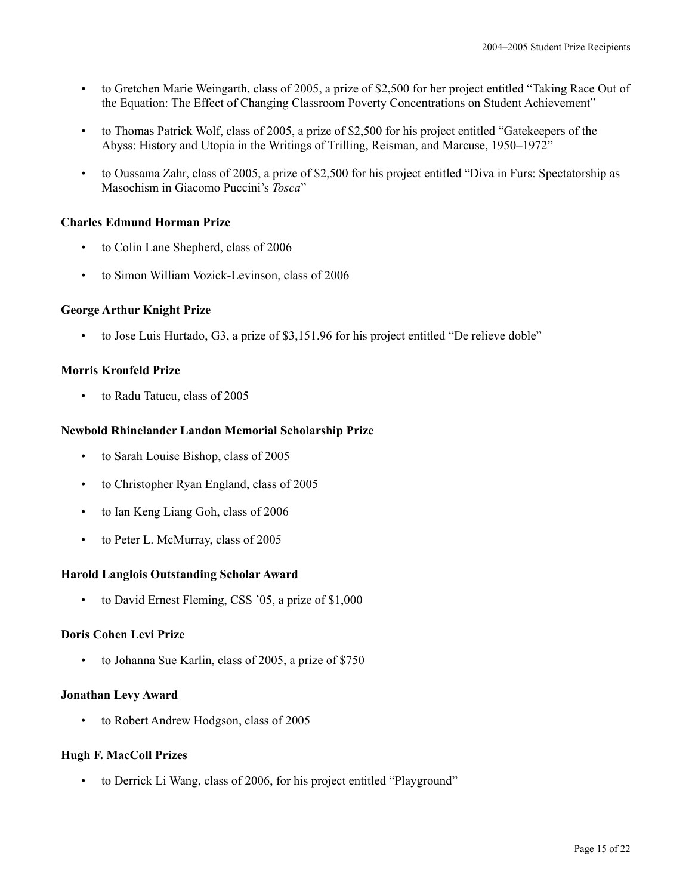- to Gretchen Marie Weingarth, class of 2005, a prize of \$2,500 for her project entitled "Taking Race Out of the Equation: The Effect of Changing Classroom Poverty Concentrations on Student Achievement"
- to Thomas Patrick Wolf, class of 2005, a prize of \$2,500 for his project entitled "Gatekeepers of the Abyss: History and Utopia in the Writings of Trilling, Reisman, and Marcuse, 1950–1972"
- to Oussama Zahr, class of 2005, a prize of \$2,500 for his project entitled "Diva in Furs: Spectatorship as Masochism in Giacomo Puccini's *Tosca*"

## **Charles Edmund Horman Prize**

- to Colin Lane Shepherd, class of 2006
- to Simon William Vozick-Levinson, class of 2006

## **George Arthur Knight Prize**

• to Jose Luis Hurtado, G3, a prize of \$3,151.96 for his project entitled "De relieve doble"

## **Morris Kronfeld Prize**

• to Radu Tatucu, class of 2005

## **Newbold Rhinelander Landon Memorial Scholarship Prize**

- to Sarah Louise Bishop, class of 2005
- to Christopher Ryan England, class of 2005
- to Ian Keng Liang Goh, class of 2006
- to Peter L. McMurray, class of 2005

#### **Harold Langlois Outstanding Scholar Award**

to David Ernest Fleming, CSS '05, a prize of \$1,000

## **Doris Cohen Levi Prize**

• to Johanna Sue Karlin, class of 2005, a prize of \$750

#### **Jonathan Levy Award**

• to Robert Andrew Hodgson, class of 2005

#### **Hugh F. MacColl Prizes**

• to Derrick Li Wang, class of 2006, for his project entitled "Playground"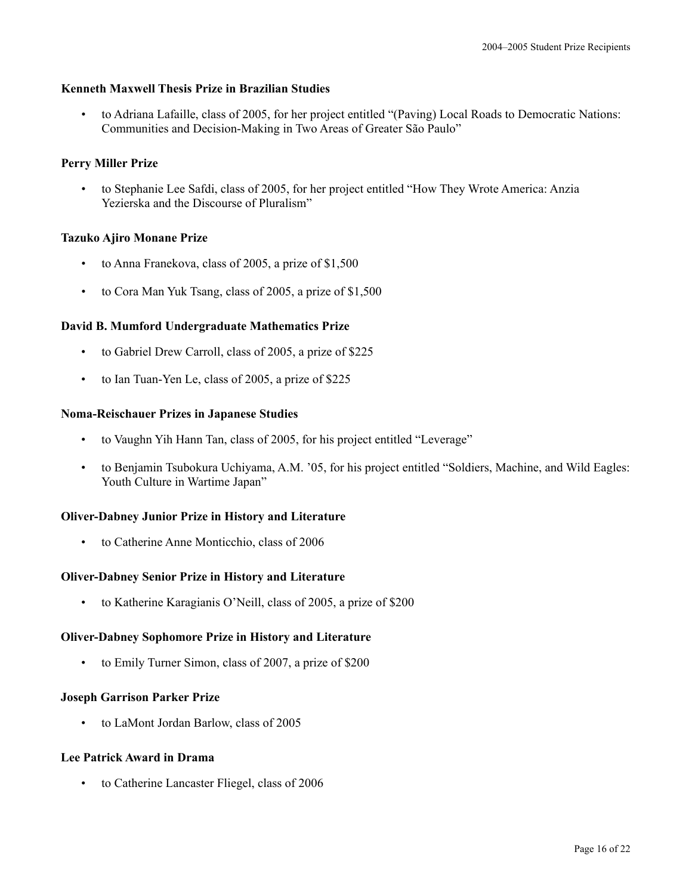#### **Kenneth Maxwell Thesis Prize in Brazilian Studies**

• to Adriana Lafaille, class of 2005, for her project entitled "(Paving) Local Roads to Democratic Nations: Communities and Decision-Making in Two Areas of Greater São Paulo"

## **Perry Miller Prize**

• to Stephanie Lee Safdi, class of 2005, for her project entitled "How They Wrote America: Anzia Yezierska and the Discourse of Pluralism"

## **Tazuko Ajiro Monane Prize**

- to Anna Franekova, class of 2005, a prize of \$1,500
- to Cora Man Yuk Tsang, class of 2005, a prize of \$1,500

## **David B. Mumford Undergraduate Mathematics Prize**

- to Gabriel Drew Carroll, class of 2005, a prize of \$225
- to Ian Tuan-Yen Le, class of 2005, a prize of \$225

## **Noma-Reischauer Prizes in Japanese Studies**

- to Vaughn Yih Hann Tan, class of 2005, for his project entitled "Leverage"
- to Benjamin Tsubokura Uchiyama, A.M. '05, for his project entitled "Soldiers, Machine, and Wild Eagles: Youth Culture in Wartime Japan"

## **Oliver-Dabney Junior Prize in History and Literature**

• to Catherine Anne Monticchio, class of 2006

#### **Oliver-Dabney Senior Prize in History and Literature**

• to Katherine Karagianis O'Neill, class of 2005, a prize of \$200

#### **Oliver-Dabney Sophomore Prize in History and Literature**

• to Emily Turner Simon, class of 2007, a prize of \$200

#### **Joseph Garrison Parker Prize**

• to LaMont Jordan Barlow, class of 2005

#### **Lee Patrick Award in Drama**

• to Catherine Lancaster Fliegel, class of 2006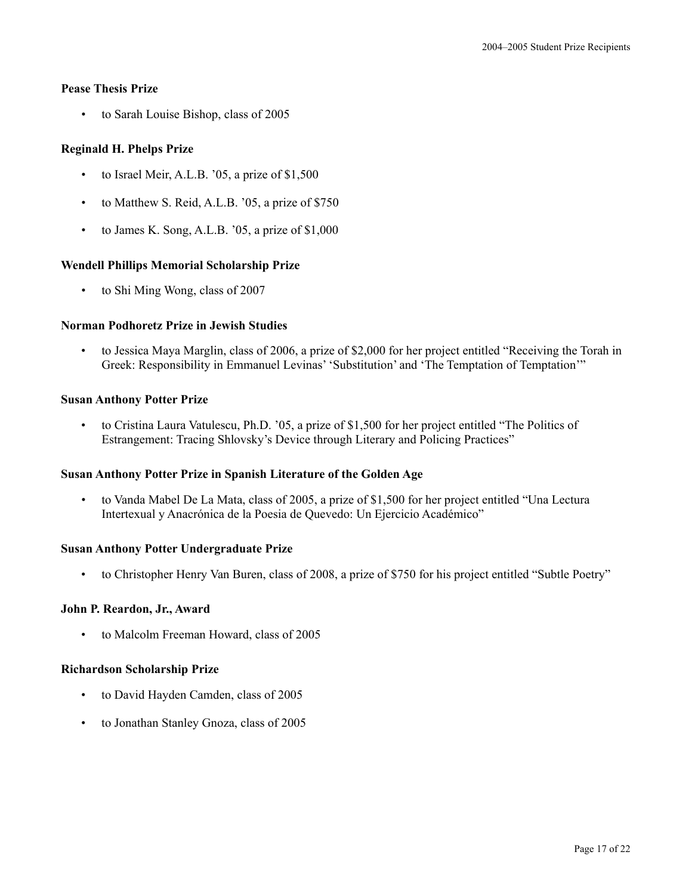## **Pease Thesis Prize**

• to Sarah Louise Bishop, class of 2005

# **Reginald H. Phelps Prize**

- to Israel Meir, A.L.B. '05, a prize of \$1,500
- to Matthew S. Reid, A.L.B. '05, a prize of \$750
- to James K. Song, A.L.B. '05, a prize of \$1,000

## **Wendell Phillips Memorial Scholarship Prize**

• to Shi Ming Wong, class of 2007

## **Norman Podhoretz Prize in Jewish Studies**

• to Jessica Maya Marglin, class of 2006, a prize of \$2,000 for her project entitled "Receiving the Torah in Greek: Responsibility in Emmanuel Levinas' 'Substitution' and 'The Temptation of Temptation'"

## **Susan Anthony Potter Prize**

• to Cristina Laura Vatulescu, Ph.D. '05, a prize of \$1,500 for her project entitled "The Politics of Estrangement: Tracing Shlovsky's Device through Literary and Policing Practices"

#### **Susan Anthony Potter Prize in Spanish Literature of the Golden Age**

• to Vanda Mabel De La Mata, class of 2005, a prize of \$1,500 for her project entitled "Una Lectura Intertexual y Anacrónica de la Poesia de Quevedo: Un Ejercicio Académico"

#### **Susan Anthony Potter Undergraduate Prize**

• to Christopher Henry Van Buren, class of 2008, a prize of \$750 for his project entitled "Subtle Poetry"

## **John P. Reardon, Jr., Award**

• to Malcolm Freeman Howard, class of 2005

#### **Richardson Scholarship Prize**

- to David Hayden Camden, class of 2005
- to Jonathan Stanley Gnoza, class of 2005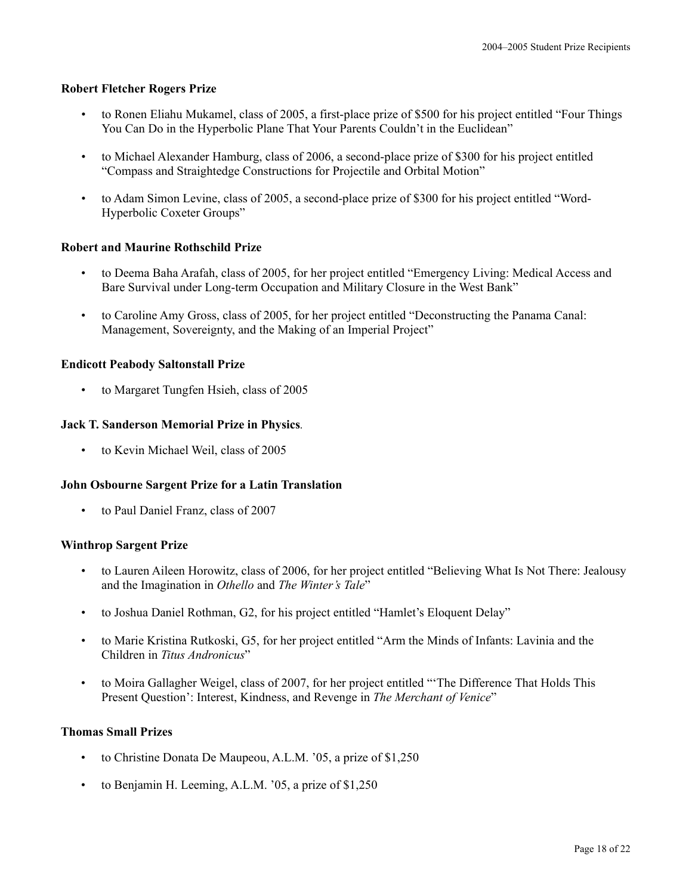#### **Robert Fletcher Rogers Prize**

- to Ronen Eliahu Mukamel, class of 2005, a first-place prize of \$500 for his project entitled "Four Things You Can Do in the Hyperbolic Plane That Your Parents Couldn't in the Euclidean"
- to Michael Alexander Hamburg, class of 2006, a second-place prize of \$300 for his project entitled "Compass and Straightedge Constructions for Projectile and Orbital Motion"
- to Adam Simon Levine, class of 2005, a second-place prize of \$300 for his project entitled "Word-Hyperbolic Coxeter Groups"

## **Robert and Maurine Rothschild Prize**

- to Deema Baha Arafah, class of 2005, for her project entitled "Emergency Living: Medical Access and Bare Survival under Long-term Occupation and Military Closure in the West Bank"
- to Caroline Amy Gross, class of 2005, for her project entitled "Deconstructing the Panama Canal: Management, Sovereignty, and the Making of an Imperial Project"

## **Endicott Peabody Saltonstall Prize**

• to Margaret Tungfen Hsieh, class of 2005

#### **Jack T. Sanderson Memorial Prize in Physics***.*

• to Kevin Michael Weil, class of 2005

#### **John Osbourne Sargent Prize for a Latin Translation**

• to Paul Daniel Franz, class of 2007

#### **Winthrop Sargent Prize**

- to Lauren Aileen Horowitz, class of 2006, for her project entitled "Believing What Is Not There: Jealousy and the Imagination in *Othello* and *The Winter's Tale*"
- to Joshua Daniel Rothman, G2, for his project entitled "Hamlet's Eloquent Delay"
- to Marie Kristina Rutkoski, G5, for her project entitled "Arm the Minds of Infants: Lavinia and the Children in *Titus Andronicus*"
- to Moira Gallagher Weigel, class of 2007, for her project entitled "'The Difference That Holds This Present Question': Interest, Kindness, and Revenge in *The Merchant of Venice*"

#### **Thomas Small Prizes**

- to Christine Donata De Maupeou, A.L.M. '05, a prize of \$1,250
- to Benjamin H. Leeming, A.L.M. '05, a prize of \$1,250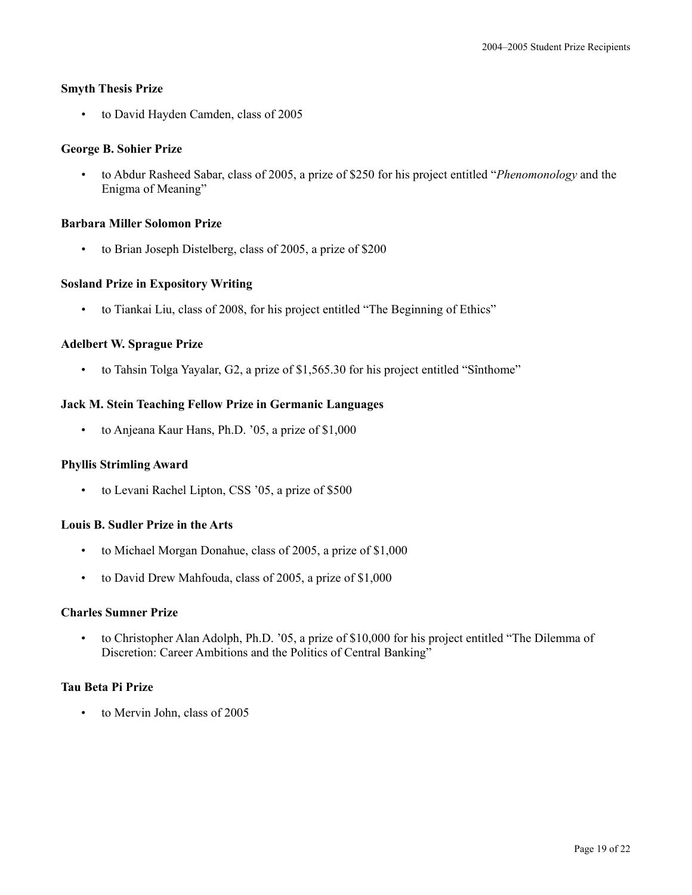## **Smyth Thesis Prize**

• to David Hayden Camden, class of 2005

## **George B. Sohier Prize**

• to Abdur Rasheed Sabar, class of 2005, a prize of \$250 for his project entitled "*Phenomonology* and the Enigma of Meaning"

## **Barbara Miller Solomon Prize**

• to Brian Joseph Distelberg, class of 2005, a prize of \$200

## **Sosland Prize in Expository Writing**

• to Tiankai Liu, class of 2008, for his project entitled "The Beginning of Ethics"

## **Adelbert W. Sprague Prize**

• to Tahsin Tolga Yayalar, G2, a prize of \$1,565.30 for his project entitled "Sînthome"

## **Jack M. Stein Teaching Fellow Prize in Germanic Languages**

• to Anjeana Kaur Hans, Ph.D. '05, a prize of \$1,000

#### **Phyllis Strimling Award**

• to Levani Rachel Lipton, CSS '05, a prize of \$500

#### **Louis B. Sudler Prize in the Arts**

- to Michael Morgan Donahue, class of 2005, a prize of \$1,000
- to David Drew Mahfouda, class of 2005, a prize of \$1,000

#### **Charles Sumner Prize**

• to Christopher Alan Adolph, Ph.D. '05, a prize of \$10,000 for his project entitled "The Dilemma of Discretion: Career Ambitions and the Politics of Central Banking"

#### **Tau Beta Pi Prize**

• to Mervin John, class of 2005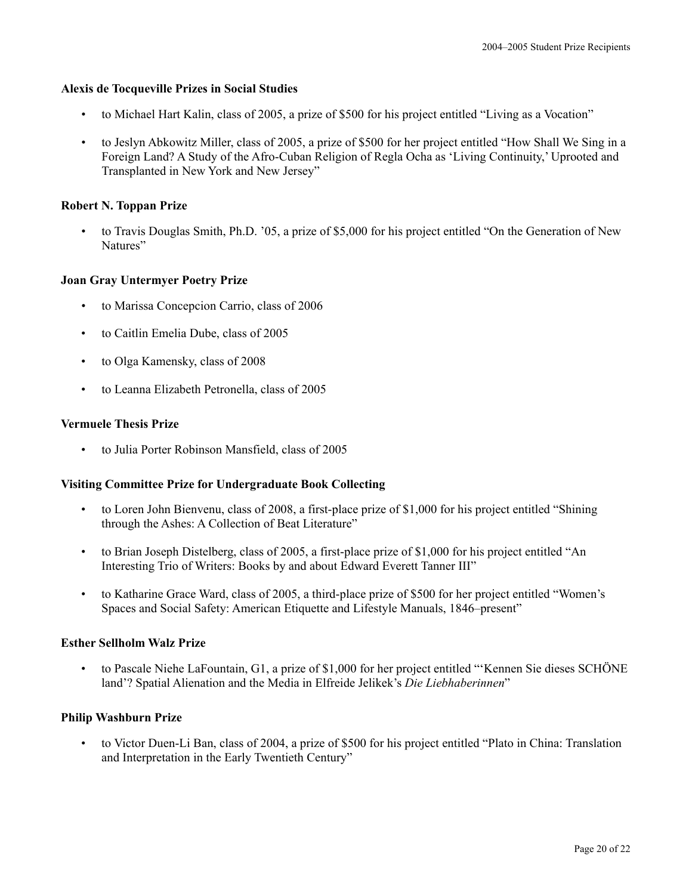## **Alexis de Tocqueville Prizes in Social Studies**

- to Michael Hart Kalin, class of 2005, a prize of \$500 for his project entitled "Living as a Vocation"
- to Jeslyn Abkowitz Miller, class of 2005, a prize of \$500 for her project entitled "How Shall We Sing in a Foreign Land? A Study of the Afro-Cuban Religion of Regla Ocha as 'Living Continuity,' Uprooted and Transplanted in New York and New Jersey"

## **Robert N. Toppan Prize**

• to Travis Douglas Smith, Ph.D. '05, a prize of \$5,000 for his project entitled "On the Generation of New Natures"

## **Joan Gray Untermyer Poetry Prize**

- to Marissa Concepcion Carrio, class of 2006
- to Caitlin Emelia Dube, class of 2005
- to Olga Kamensky, class of 2008
- to Leanna Elizabeth Petronella, class of 2005

## **Vermuele Thesis Prize**

• to Julia Porter Robinson Mansfield, class of 2005

## **Visiting Committee Prize for Undergraduate Book Collecting**

- to Loren John Bienvenu, class of 2008, a first-place prize of \$1,000 for his project entitled "Shining through the Ashes: A Collection of Beat Literature"
- to Brian Joseph Distelberg, class of 2005, a first-place prize of \$1,000 for his project entitled "An Interesting Trio of Writers: Books by and about Edward Everett Tanner III"
- to Katharine Grace Ward, class of 2005, a third-place prize of \$500 for her project entitled "Women's Spaces and Social Safety: American Etiquette and Lifestyle Manuals, 1846–present"

## **Esther Sellholm Walz Prize**

• to Pascale Niehe LaFountain, G1, a prize of \$1,000 for her project entitled "'Kennen Sie dieses SCHÖNE land'? Spatial Alienation and the Media in Elfreide Jelikek's *Die Liebhaberinnen*"

## **Philip Washburn Prize**

• to Victor Duen-Li Ban, class of 2004, a prize of \$500 for his project entitled "Plato in China: Translation and Interpretation in the Early Twentieth Century"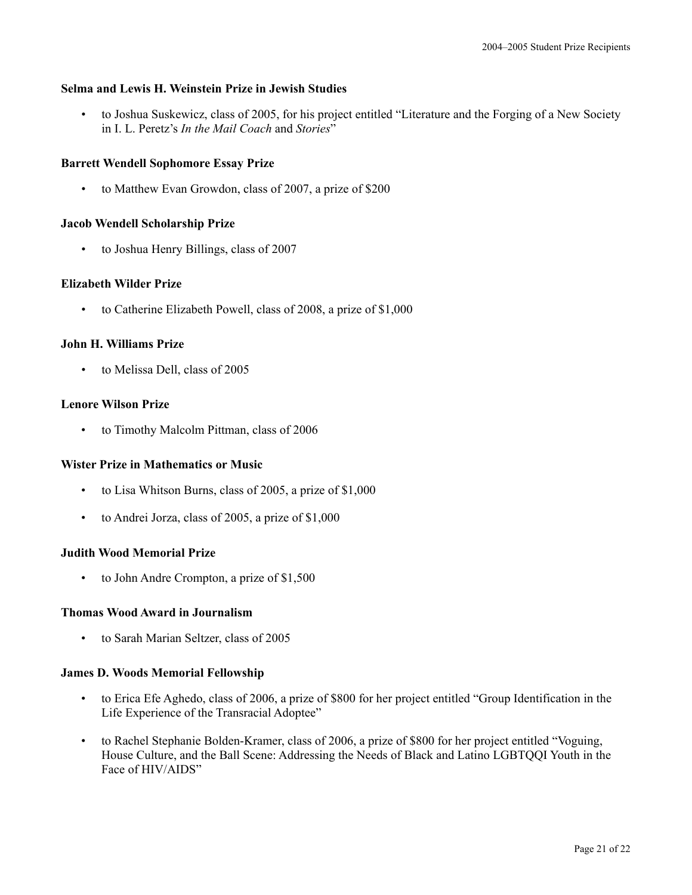#### **Selma and Lewis H. Weinstein Prize in Jewish Studies**

• to Joshua Suskewicz, class of 2005, for his project entitled "Literature and the Forging of a New Society in I. L. Peretz's *In the Mail Coach* and *Stories*"

## **Barrett Wendell Sophomore Essay Prize**

• to Matthew Evan Growdon, class of 2007, a prize of \$200

#### **Jacob Wendell Scholarship Prize**

• to Joshua Henry Billings, class of 2007

#### **Elizabeth Wilder Prize**

• to Catherine Elizabeth Powell, class of 2008, a prize of \$1,000

## **John H. Williams Prize**

• to Melissa Dell, class of 2005

## **Lenore Wilson Prize**

• to Timothy Malcolm Pittman, class of 2006

#### **Wister Prize in Mathematics or Music**

- to Lisa Whitson Burns, class of 2005, a prize of \$1,000
- to Andrei Jorza, class of 2005, a prize of \$1,000

#### **Judith Wood Memorial Prize**

to John Andre Crompton, a prize of \$1,500

#### **Thomas Wood Award in Journalism**

• to Sarah Marian Seltzer, class of 2005

#### **James D. Woods Memorial Fellowship**

- to Erica Efe Aghedo, class of 2006, a prize of \$800 for her project entitled "Group Identification in the Life Experience of the Transracial Adoptee"
- to Rachel Stephanie Bolden-Kramer, class of 2006, a prize of \$800 for her project entitled "Voguing, House Culture, and the Ball Scene: Addressing the Needs of Black and Latino LGBTQQI Youth in the Face of HIV/AIDS"